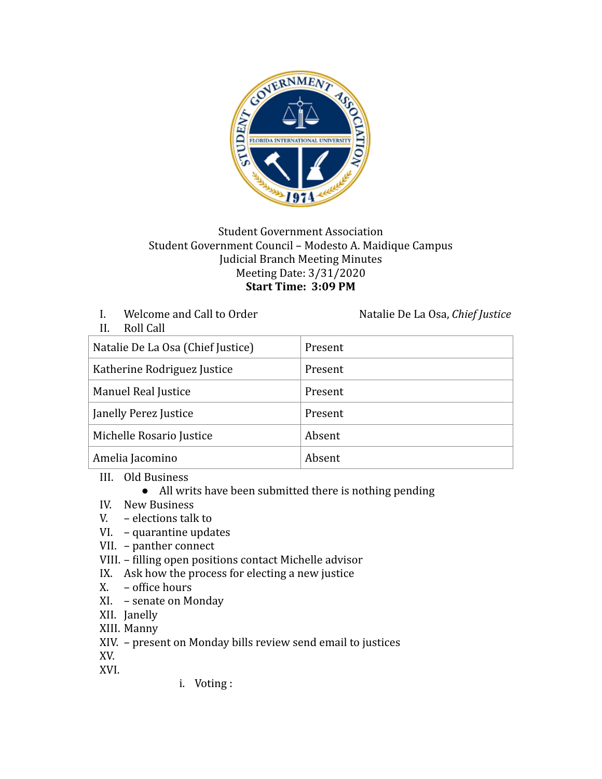

## Student Government Association Student Government Council - Modesto A. Maidique Campus Judicial Branch Meeting Minutes Meeting Date: 3/31/2020 **Start Time: 3:09 PM**

I. Welcome and Call to Order **Natalie** De La Osa, *Chief Justice* 

II. Roll Call

| Natalie De La Osa (Chief Justice) | Present |
|-----------------------------------|---------|
| Katherine Rodriguez Justice       | Present |
| Manuel Real Justice               | Present |
| Janelly Perez Justice             | Present |
| Michelle Rosario Justice          | Absent  |
| Amelia Jacomino                   | Absent  |

III. Old Business 

## • All writs have been submitted there is nothing pending

- IV. New Business
- V.  $-$  elections talk to
- VI.  $-$  quarantine updates
- VII. panther connect
- VIII. filling open positions contact Michelle advisor
- IX. Ask how the process for electing a new justice
- $X. \text{office hours}$
- XI. senate on Monday
- XII. Janelly
- XIII. Manny
- XIV. present on Monday bills review send email to justices
- XV.
- XVI.
- i. Voting :